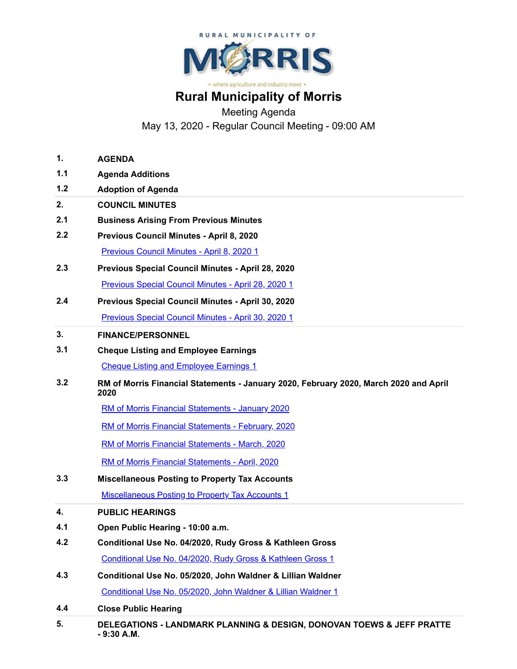

## **Rural Municipality of Morris**

Meeting Agenda

May 13, 2020 - Regular Council Meeting - 09:00 AM

| 1.  | <b>AGENDA</b>                                                                                 |
|-----|-----------------------------------------------------------------------------------------------|
| 1.1 | <b>Agenda Additions</b>                                                                       |
| 1.2 | <b>Adoption of Agenda</b>                                                                     |
| 2.  | <b>COUNCIL MINUTES</b>                                                                        |
| 2.1 | <b>Business Arising From Previous Minutes</b>                                                 |
| 2.2 | Previous Council Minutes - April 8, 2020                                                      |
|     | Previous Council Minutes - April 8, 2020 1                                                    |
| 2.3 | Previous Special Council Minutes - April 28, 2020                                             |
|     | Previous Special Council Minutes - April 28, 2020 1                                           |
| 2.4 | Previous Special Council Minutes - April 30, 2020                                             |
|     |                                                                                               |
|     | Previous Special Council Minutes - April 30, 2020 1                                           |
| 3.  | <b>FINANCE/PERSONNEL</b>                                                                      |
| 3.1 | <b>Cheque Listing and Employee Earnings</b>                                                   |
|     | <b>Cheque Listing and Employee Earnings 1</b>                                                 |
| 3.2 | RM of Morris Financial Statements - January 2020, February 2020, March 2020 and April<br>2020 |
|     | RM of Morris Financial Statements - January 2020                                              |
|     | RM of Morris Financial Statements - February, 2020                                            |
|     | RM of Morris Financial Statements - March, 2020                                               |
|     | RM of Morris Financial Statements - April, 2020                                               |
| 3.3 | <b>Miscellaneous Posting to Property Tax Accounts</b>                                         |
|     | <b>Miscellaneous Posting to Property Tax Accounts 1</b>                                       |
| 4.  | <b>PUBLIC HEARINGS</b>                                                                        |
| 4.1 | Open Public Hearing - 10:00 a.m.                                                              |
| 4.2 | Conditional Use No. 04/2020, Rudy Gross & Kathleen Gross                                      |
|     | Conditional Use No. 04/2020, Rudy Gross & Kathleen Gross 1                                    |
| 4.3 | Conditional Use No. 05/2020, John Waldner & Lillian Waldner                                   |
|     | Conditional Use No. 05/2020, John Waldner & Lillian Waldner 1                                 |
| 4.4 | <b>Close Public Hearing</b>                                                                   |
| 5.  | DELEGATIONS - LANDMARK PLANNING & DESIGN, DONOVAN TOEWS & JEFF PRATTE<br>- 9:30 A.M.          |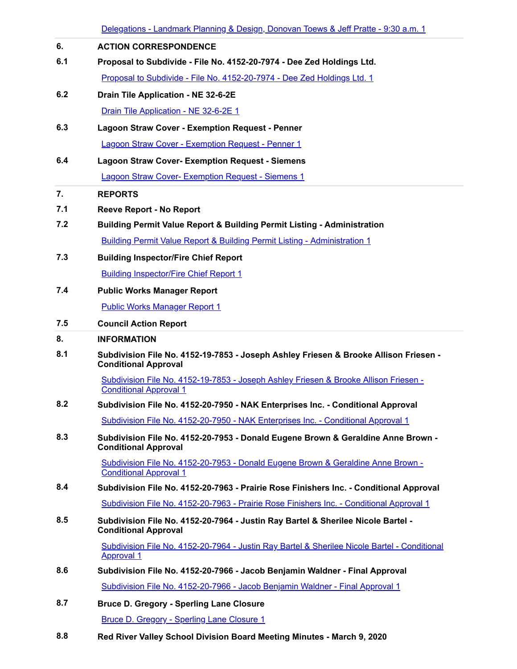|            | <u> Delegations - Landmark Planning &amp; Design, Donovan Toews &amp; Jeff Pratte - 9:30 a.m. 1</u>                   |
|------------|-----------------------------------------------------------------------------------------------------------------------|
| 6.         | <b>ACTION CORRESPONDENCE</b>                                                                                          |
| 6.1        | Proposal to Subdivide - File No. 4152-20-7974 - Dee Zed Holdings Ltd.                                                 |
|            | Proposal to Subdivide - File No. 4152-20-7974 - Dee Zed Holdings Ltd. 1                                               |
| 6.2        | Drain Tile Application - NE 32-6-2E                                                                                   |
|            | Drain Tile Application - NE 32-6-2E 1                                                                                 |
| 6.3        | <b>Lagoon Straw Cover - Exemption Request - Penner</b>                                                                |
|            | <b>Lagoon Straw Cover - Exemption Request - Penner 1</b>                                                              |
| 6.4        | <b>Lagoon Straw Cover- Exemption Request - Siemens</b>                                                                |
|            | <b>Lagoon Straw Cover- Exemption Request - Siemens 1</b>                                                              |
| 7.         | <b>REPORTS</b>                                                                                                        |
| 7.1        | <b>Reeve Report - No Report</b>                                                                                       |
| 7.2        | <b>Building Permit Value Report &amp; Building Permit Listing - Administration</b>                                    |
|            | <b>Building Permit Value Report &amp; Building Permit Listing - Administration 1</b>                                  |
| 7.3        | <b>Building Inspector/Fire Chief Report</b>                                                                           |
|            | <b>Building Inspector/Fire Chief Report 1</b>                                                                         |
| 7.4        | <b>Public Works Manager Report</b>                                                                                    |
|            | <b>Public Works Manager Report 1</b>                                                                                  |
| 7.5        | <b>Council Action Report</b>                                                                                          |
| 8.         | <b>INFORMATION</b>                                                                                                    |
| 8.1        | Subdivision File No. 4152-19-7853 - Joseph Ashley Friesen & Brooke Allison Friesen -<br><b>Conditional Approval</b>   |
|            | Subdivision File No. 4152-19-7853 - Joseph Ashley Friesen & Brooke Allison Friesen -<br><b>Conditional Approval 1</b> |
| 8.2        | Subdivision File No. 4152-20-7950 - NAK Enterprises Inc. - Conditional Approval                                       |
|            | Subdivision File No. 4152-20-7950 - NAK Enterprises Inc. - Conditional Approval 1                                     |
| 8.3        | Subdivision File No. 4152-20-7953 - Donald Eugene Brown & Geraldine Anne Brown -<br><b>Conditional Approval</b>       |
|            | Subdivision File No. 4152-20-7953 - Donald Eugene Brown & Geraldine Anne Brown -<br><b>Conditional Approval 1</b>     |
| 8.4        | Subdivision File No. 4152-20-7963 - Prairie Rose Finishers Inc. - Conditional Approval                                |
|            | Subdivision File No. 4152-20-7963 - Prairie Rose Finishers Inc. - Conditional Approval 1                              |
| 8.5        | Subdivision File No. 4152-20-7964 - Justin Ray Bartel & Sherilee Nicole Bartel -<br><b>Conditional Approval</b>       |
|            | Subdivision File No. 4152-20-7964 - Justin Ray Bartel & Sherilee Nicole Bartel - Conditional<br><b>Approval 1</b>     |
| 8.6        | Subdivision File No. 4152-20-7966 - Jacob Benjamin Waldner - Final Approval                                           |
|            | Subdivision File No. 4152-20-7966 - Jacob Benjamin Waldner - Final Approval 1                                         |
| 8.7        | <b>Bruce D. Gregory - Sperling Lane Closure</b>                                                                       |
|            | <b>Bruce D. Gregory - Sperling Lane Closure 1</b>                                                                     |
| $^{\circ}$ | d Dissen Valley, Ochead Disipiers Deput Meeting Minster - Me                                                          |

**8.8 Red River Valley School Division Board Meeting Minutes - March 9, 2020**